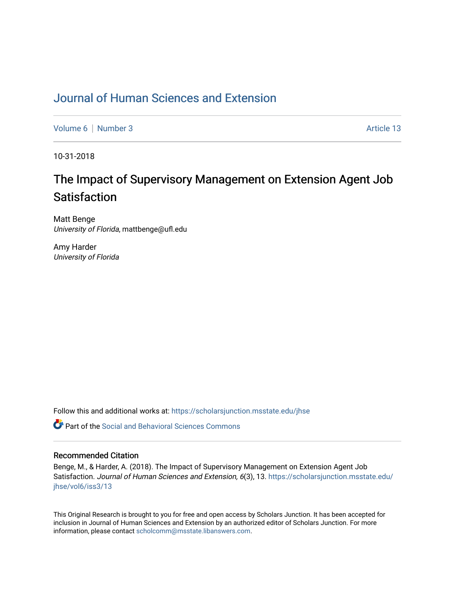## [Journal of Human Sciences and Extension](https://scholarsjunction.msstate.edu/jhse)

[Volume 6](https://scholarsjunction.msstate.edu/jhse/vol6) | [Number 3](https://scholarsjunction.msstate.edu/jhse/vol6/iss3) Article 13

10-31-2018

# The Impact of Supervisory Management on Extension Agent Job Satisfaction

Matt Benge University of Florida, mattbenge@ufl.edu

Amy Harder University of Florida

Follow this and additional works at: [https://scholarsjunction.msstate.edu/jhse](https://scholarsjunction.msstate.edu/jhse?utm_source=scholarsjunction.msstate.edu%2Fjhse%2Fvol6%2Fiss3%2F13&utm_medium=PDF&utm_campaign=PDFCoverPages)

 $\bullet$  Part of the Social and Behavioral Sciences Commons

#### Recommended Citation

Benge, M., & Harder, A. (2018). The Impact of Supervisory Management on Extension Agent Job Satisfaction. Journal of Human Sciences and Extension, 6(3), 13. [https://scholarsjunction.msstate.edu/](https://scholarsjunction.msstate.edu/jhse/vol6/iss3/13?utm_source=scholarsjunction.msstate.edu%2Fjhse%2Fvol6%2Fiss3%2F13&utm_medium=PDF&utm_campaign=PDFCoverPages) [jhse/vol6/iss3/13](https://scholarsjunction.msstate.edu/jhse/vol6/iss3/13?utm_source=scholarsjunction.msstate.edu%2Fjhse%2Fvol6%2Fiss3%2F13&utm_medium=PDF&utm_campaign=PDFCoverPages) 

This Original Research is brought to you for free and open access by Scholars Junction. It has been accepted for inclusion in Journal of Human Sciences and Extension by an authorized editor of Scholars Junction. For more information, please contact [scholcomm@msstate.libanswers.com](mailto:scholcomm@msstate.libanswers.com).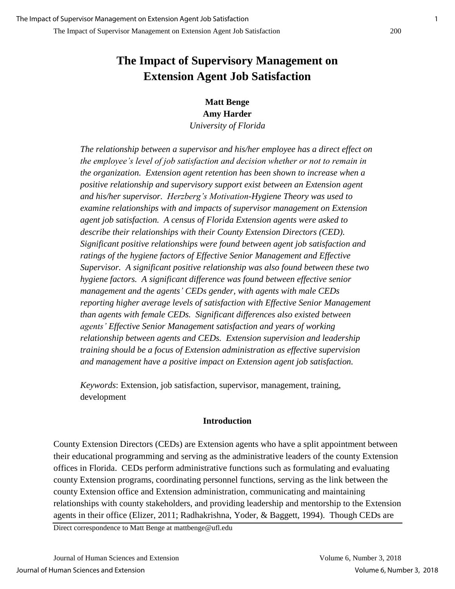**Matt Benge Amy Harder** *University of Florida*

*The relationship between a supervisor and his/her employee has a direct effect on the employee's level of job satisfaction and decision whether or not to remain in the organization. Extension agent retention has been shown to increase when a positive relationship and supervisory support exist between an Extension agent and his/her supervisor. Herzberg's Motivation-Hygiene Theory was used to examine relationships with and impacts of supervisor management on Extension agent job satisfaction. A census of Florida Extension agents were asked to describe their relationships with their County Extension Directors (CED). Significant positive relationships were found between agent job satisfaction and ratings of the hygiene factors of Effective Senior Management and Effective Supervisor. A significant positive relationship was also found between these two hygiene factors. A significant difference was found between effective senior management and the agents' CEDs gender, with agents with male CEDs reporting higher average levels of satisfaction with Effective Senior Management than agents with female CEDs. Significant differences also existed between agents' Effective Senior Management satisfaction and years of working relationship between agents and CEDs. Extension supervision and leadership training should be a focus of Extension administration as effective supervision and management have a positive impact on Extension agent job satisfaction.*

*Keywords*: Extension, job satisfaction, supervisor, management, training, development

## **Introduction**

County Extension Directors (CEDs) are Extension agents who have a split appointment between their educational programming and serving as the administrative leaders of the county Extension offices in Florida. CEDs perform administrative functions such as formulating and evaluating county Extension programs, coordinating personnel functions, serving as the link between the county Extension office and Extension administration, communicating and maintaining relationships with county stakeholders, and providing leadership and mentorship to the Extension agents in their office (Elizer, 2011; Radhakrishna, Yoder, & Baggett, 1994). Though CEDs are

Direct correspondence to Matt Benge at mattbenge@ufl.edu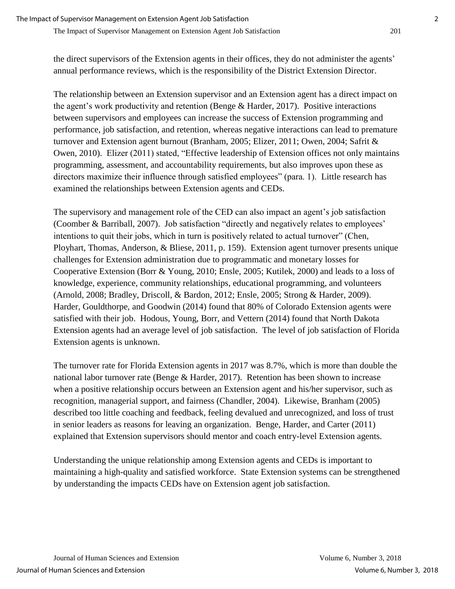the direct supervisors of the Extension agents in their offices, they do not administer the agents' annual performance reviews, which is the responsibility of the District Extension Director.

The relationship between an Extension supervisor and an Extension agent has a direct impact on the agent's work productivity and retention (Benge & Harder, 2017). Positive interactions between supervisors and employees can increase the success of Extension programming and performance, job satisfaction, and retention, whereas negative interactions can lead to premature turnover and Extension agent burnout (Branham, 2005; Elizer, 2011; Owen, 2004; Safrit & Owen, 2010). Elizer (2011) stated, "Effective leadership of Extension offices not only maintains programming, assessment, and accountability requirements, but also improves upon these as directors maximize their influence through satisfied employees" (para. 1). Little research has examined the relationships between Extension agents and CEDs.

The supervisory and management role of the CED can also impact an agent's job satisfaction (Coomber & Barriball, 2007). Job satisfaction "directly and negatively relates to employees' intentions to quit their jobs, which in turn is positively related to actual turnover" (Chen, Ployhart, Thomas, Anderson, & Bliese, 2011, p. 159). Extension agent turnover presents unique challenges for Extension administration due to programmatic and monetary losses for Cooperative Extension (Borr & Young, 2010; Ensle, 2005; Kutilek, 2000) and leads to a loss of knowledge, experience, community relationships, educational programming, and volunteers (Arnold, 2008; Bradley, Driscoll, & Bardon, 2012; Ensle, 2005; Strong & Harder, 2009). Harder, Gouldthorpe, and Goodwin (2014) found that 80% of Colorado Extension agents were satisfied with their job. Hodous, Young, Borr, and Vettern (2014) found that North Dakota Extension agents had an average level of job satisfaction. The level of job satisfaction of Florida Extension agents is unknown.

The turnover rate for Florida Extension agents in 2017 was 8.7%, which is more than double the national labor turnover rate (Benge & Harder, 2017). Retention has been shown to increase when a positive relationship occurs between an Extension agent and his/her supervisor, such as recognition, managerial support, and fairness (Chandler, 2004). Likewise, Branham (2005) described too little coaching and feedback, feeling devalued and unrecognized, and loss of trust in senior leaders as reasons for leaving an organization. Benge, Harder, and Carter (2011) explained that Extension supervisors should mentor and coach entry-level Extension agents.

Understanding the unique relationship among Extension agents and CEDs is important to maintaining a high-quality and satisfied workforce. State Extension systems can be strengthened by understanding the impacts CEDs have on Extension agent job satisfaction.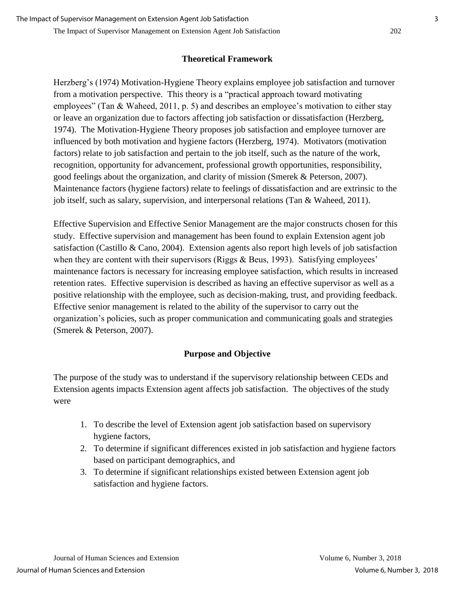#### **Theoretical Framework**

Herzberg's (1974) Motivation-Hygiene Theory explains employee job satisfaction and turnover from a motivation perspective. This theory is a "practical approach toward motivating employees" (Tan & Waheed, 2011, p. 5) and describes an employee's motivation to either stay or leave an organization due to factors affecting job satisfaction or dissatisfaction (Herzberg, 1974). The Motivation-Hygiene Theory proposes job satisfaction and employee turnover are influenced by both motivation and hygiene factors (Herzberg, 1974). Motivators (motivation factors) relate to job satisfaction and pertain to the job itself, such as the nature of the work, recognition, opportunity for advancement, professional growth opportunities, responsibility, good feelings about the organization, and clarity of mission (Smerek & Peterson, 2007). Maintenance factors (hygiene factors) relate to feelings of dissatisfaction and are extrinsic to the job itself, such as salary, supervision, and interpersonal relations (Tan & Waheed, 2011).

Effective Supervision and Effective Senior Management are the major constructs chosen for this study. Effective supervision and management has been found to explain Extension agent job satisfaction (Castillo & Cano, 2004). Extension agents also report high levels of job satisfaction when they are content with their supervisors (Riggs & Beus, 1993). Satisfying employees' maintenance factors is necessary for increasing employee satisfaction, which results in increased retention rates. Effective supervision is described as having an effective supervisor as well as a positive relationship with the employee, such as decision-making, trust, and providing feedback. Effective senior management is related to the ability of the supervisor to carry out the organization's policies, such as proper communication and communicating goals and strategies (Smerek & Peterson, 2007).

### **Purpose and Objective**

The purpose of the study was to understand if the supervisory relationship between CEDs and Extension agents impacts Extension agent affects job satisfaction. The objectives of the study were

- 1. To describe the level of Extension agent job satisfaction based on supervisory hygiene factors,
- 2. To determine if significant differences existed in job satisfaction and hygiene factors based on participant demographics, and
- 3. To determine if significant relationships existed between Extension agent job satisfaction and hygiene factors.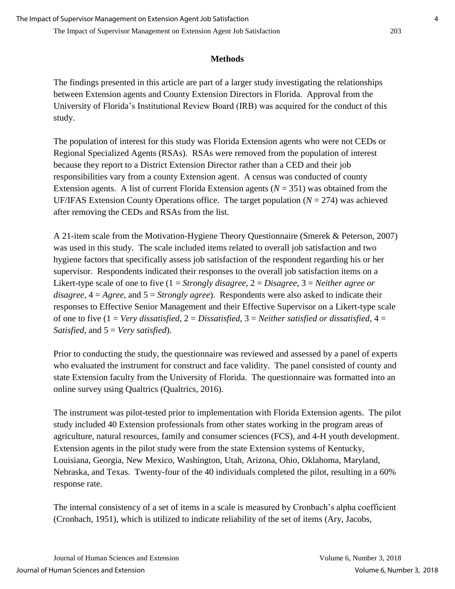### **Methods**

The findings presented in this article are part of a larger study investigating the relationships between Extension agents and County Extension Directors in Florida. Approval from the University of Florida's Institutional Review Board (IRB) was acquired for the conduct of this study.

The population of interest for this study was Florida Extension agents who were not CEDs or Regional Specialized Agents (RSAs). RSAs were removed from the population of interest because they report to a District Extension Director rather than a CED and their job responsibilities vary from a county Extension agent. A census was conducted of county Extension agents. A list of current Florida Extension agents  $(N = 351)$  was obtained from the UF/IFAS Extension County Operations office. The target population  $(N = 274)$  was achieved after removing the CEDs and RSAs from the list.

A 21-item scale from the Motivation-Hygiene Theory Questionnaire (Smerek & Peterson, 2007) was used in this study. The scale included items related to overall job satisfaction and two hygiene factors that specifically assess job satisfaction of the respondent regarding his or her supervisor. Respondents indicated their responses to the overall job satisfaction items on a Likert-type scale of one to five (1 = *Strongly disagree*, 2 = *Disagree*, 3 = *Neither agree or disagree*, 4 = *Agree*, and 5 = *Strongly agree*). Respondents were also asked to indicate their responses to Effective Senior Management and their Effective Supervisor on a Likert-type scale of one to five (1 = *Very dissatisfied*, 2 = *Dissatisfied*, 3 = *Neither satisfied or dissatisfied*, 4 = *Satisfied*, and 5 = *Very satisfied*).

Prior to conducting the study, the questionnaire was reviewed and assessed by a panel of experts who evaluated the instrument for construct and face validity. The panel consisted of county and state Extension faculty from the University of Florida. The questionnaire was formatted into an online survey using Qualtrics (Qualtrics, 2016).

The instrument was pilot-tested prior to implementation with Florida Extension agents. The pilot study included 40 Extension professionals from other states working in the program areas of agriculture, natural resources, family and consumer sciences (FCS), and 4-H youth development. Extension agents in the pilot study were from the state Extension systems of Kentucky, Louisiana, Georgia, New Mexico, Washington, Utah, Arizona, Ohio, Oklahoma, Maryland, Nebraska, and Texas. Twenty-four of the 40 individuals completed the pilot, resulting in a 60% response rate.

The internal consistency of a set of items in a scale is measured by Cronbach's alpha coefficient (Cronbach, 1951), which is utilized to indicate reliability of the set of items (Ary, Jacobs,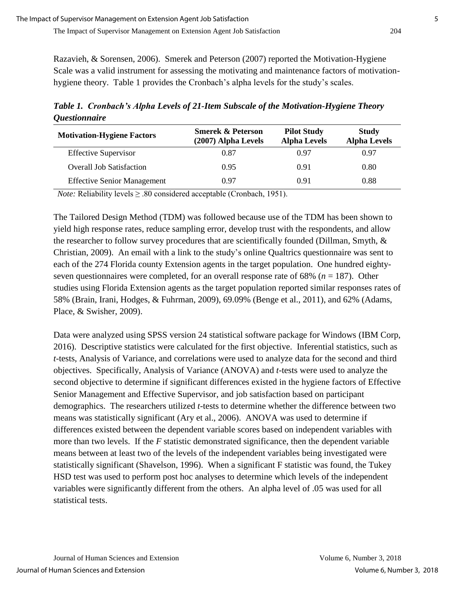Razavieh, & Sorensen, 2006). Smerek and Peterson (2007) reported the Motivation-Hygiene Scale was a valid instrument for assessing the motivating and maintenance factors of motivationhygiene theory. Table 1 provides the Cronbach's alpha levels for the study's scales.

*Table 1. Cronbach's Alpha Levels of 21-Item Subscale of the Motivation-Hygiene Theory Questionnaire* 

| <b>Motivation-Hygiene Factors</b>  | <b>Smerek &amp; Peterson</b><br>(2007) Alpha Levels | <b>Pilot Study</b><br><b>Alpha Levels</b> | <b>Study</b><br><b>Alpha Levels</b> |
|------------------------------------|-----------------------------------------------------|-------------------------------------------|-------------------------------------|
| <b>Effective Supervisor</b>        | 0.87                                                | 0.97                                      | 0.97                                |
| <b>Overall Job Satisfaction</b>    | 0.95                                                | 0.91                                      | 0.80                                |
| <b>Effective Senior Management</b> | 0.97                                                | 0.91                                      | 0.88                                |

*Note:* Reliability levels ≥ .80 considered acceptable (Cronbach, 1951).

The Tailored Design Method (TDM) was followed because use of the TDM has been shown to yield high response rates, reduce sampling error, develop trust with the respondents, and allow the researcher to follow survey procedures that are scientifically founded (Dillman, Smyth, & Christian, 2009). An email with a link to the study's online Qualtrics questionnaire was sent to each of the 274 Florida county Extension agents in the target population. One hundred eightyseven questionnaires were completed, for an overall response rate of 68% (*n* = 187). Other studies using Florida Extension agents as the target population reported similar responses rates of 58% (Brain, Irani, Hodges, & Fuhrman, 2009), 69.09% (Benge et al., 2011), and 62% (Adams, Place, & Swisher, 2009).

Data were analyzed using SPSS version 24 statistical software package for Windows (IBM Corp, 2016). Descriptive statistics were calculated for the first objective. Inferential statistics, such as *t*-tests, Analysis of Variance, and correlations were used to analyze data for the second and third objectives. Specifically, Analysis of Variance (ANOVA) and *t*-tests were used to analyze the second objective to determine if significant differences existed in the hygiene factors of Effective Senior Management and Effective Supervisor, and job satisfaction based on participant demographics. The researchers utilized *t*-tests to determine whether the difference between two means was statistically significant (Ary et al., 2006). ANOVA was used to determine if differences existed between the dependent variable scores based on independent variables with more than two levels. If the *F* statistic demonstrated significance, then the dependent variable means between at least two of the levels of the independent variables being investigated were statistically significant (Shavelson, 1996). When a significant F statistic was found, the Tukey HSD test was used to perform post hoc analyses to determine which levels of the independent variables were significantly different from the others. An alpha level of .05 was used for all statistical tests.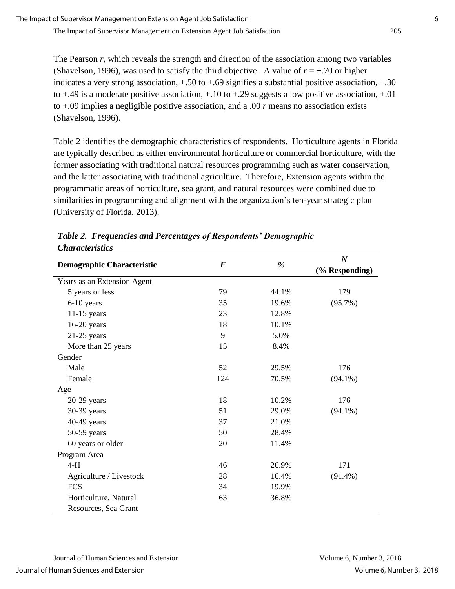The Pearson *r*, which reveals the strength and direction of the association among two variables (Shavelson, 1996), was used to satisfy the third objective. A value of  $r = +0.70$  or higher indicates a very strong association,  $+.50$  to  $+.69$  signifies a substantial positive association,  $+.30$ to  $+.49$  is a moderate positive association,  $+.10$  to  $+.29$  suggests a low positive association,  $+.01$ to +.09 implies a negligible positive association, and a .00 *r* means no association exists (Shavelson, 1996).

Table 2 identifies the demographic characteristics of respondents. Horticulture agents in Florida are typically described as either environmental horticulture or commercial horticulture, with the former associating with traditional natural resources programming such as water conservation, and the latter associating with traditional agriculture. Therefore, Extension agents within the programmatic areas of horticulture, sea grant, and natural resources were combined due to similarities in programming and alignment with the organization's ten-year strategic plan (University of Florida, 2013).

|                                   |          |       | $\boldsymbol{N}$ |
|-----------------------------------|----------|-------|------------------|
| <b>Demographic Characteristic</b> | $\bm{F}$ | $\%$  | (% Responding)   |
| Years as an Extension Agent       |          |       |                  |
| 5 years or less                   | 79       | 44.1% | 179              |
| 6-10 years                        | 35       | 19.6% | $(95.7\%)$       |
| $11-15$ years                     | 23       | 12.8% |                  |
| $16-20$ years                     | 18       | 10.1% |                  |
| $21-25$ years                     | 9        | 5.0%  |                  |
| More than 25 years                | 15       | 8.4%  |                  |
| Gender                            |          |       |                  |
| Male                              | 52       | 29.5% | 176              |
| Female                            | 124      | 70.5% | $(94.1\%)$       |
| Age                               |          |       |                  |
| $20-29$ years                     | 18       | 10.2% | 176              |
| 30-39 years                       | 51       | 29.0% | $(94.1\%)$       |
| 40-49 years                       | 37       | 21.0% |                  |
| 50-59 years                       | 50       | 28.4% |                  |
| 60 years or older                 | 20       | 11.4% |                  |
| Program Area                      |          |       |                  |
| $4-H$                             | 46       | 26.9% | 171              |
| Agriculture / Livestock           | 28       | 16.4% | $(91.4\%)$       |
| <b>FCS</b>                        | 34       | 19.9% |                  |
| Horticulture, Natural             | 63       | 36.8% |                  |
| Resources, Sea Grant              |          |       |                  |

*Table 2. Frequencies and Percentages of Respondents' Demographic Characteristics*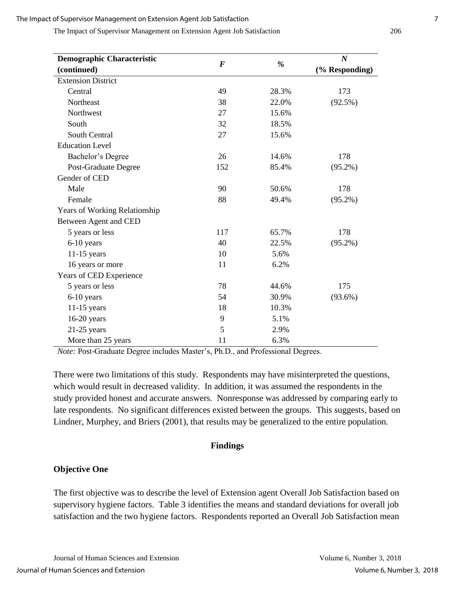The Impact of Supervisor Management on Extension Agent Job Satisfaction 206

| <b>Demographic Characteristic</b>    |          |       | $\boldsymbol{N}$ |
|--------------------------------------|----------|-------|------------------|
| (continued)                          | $\bm{F}$ | %     | (% Responding)   |
| <b>Extension District</b>            |          |       |                  |
| Central                              | 49       | 28.3% | 173              |
| Northeast                            | 38       | 22.0% | $(92.5\%)$       |
| Northwest                            | 27       | 15.6% |                  |
| South                                | 32       | 18.5% |                  |
| South Central                        | 27       | 15.6% |                  |
| <b>Education Level</b>               |          |       |                  |
| Bachelor's Degree                    | 26       | 14.6% | 178              |
| Post-Graduate Degree                 | 152      | 85.4% | $(95.2\%)$       |
| Gender of CED                        |          |       |                  |
| Male                                 | 90       | 50.6% | 178              |
| Female                               | 88       | 49.4% | $(95.2\%)$       |
| <b>Years of Working Relationship</b> |          |       |                  |
| Between Agent and CED                |          |       |                  |
| 5 years or less                      | 117      | 65.7% | 178              |
| 6-10 years                           | 40       | 22.5% | $(95.2\%)$       |
| $11-15$ years                        | 10       | 5.6%  |                  |
| 16 years or more                     | 11       | 6.2%  |                  |
| Years of CED Experience              |          |       |                  |
| 5 years or less                      | 78       | 44.6% | 175              |
| 6-10 years                           | 54       | 30.9% | $(93.6\%)$       |
| $11-15$ years                        | 18       | 10.3% |                  |
| $16-20$ years                        | 9        | 5.1%  |                  |
| $21-25$ years                        | 5        | 2.9%  |                  |
| More than 25 years                   | 11       | 6.3%  |                  |

*Note:* Post-Graduate Degree includes Master's, Ph.D., and Professional Degrees.

There were two limitations of this study. Respondents may have misinterpreted the questions, which would result in decreased validity. In addition, it was assumed the respondents in the study provided honest and accurate answers. Nonresponse was addressed by comparing early to late respondents. No significant differences existed between the groups. This suggests, based on Lindner, Murphey, and Briers (2001), that results may be generalized to the entire population.

#### **Findings**

#### **Objective One**

The first objective was to describe the level of Extension agent Overall Job Satisfaction based on supervisory hygiene factors. Table 3 identifies the means and standard deviations for overall job satisfaction and the two hygiene factors. Respondents reported an Overall Job Satisfaction mean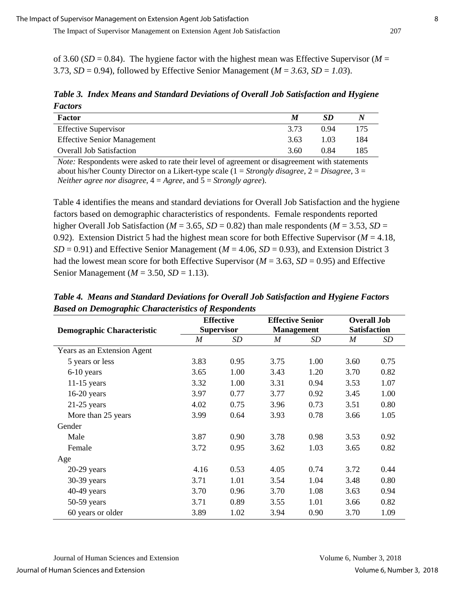of 3.60 ( $SD = 0.84$ ). The hygiene factor with the highest mean was Effective Supervisor ( $M =$ 3.73,  $SD = 0.94$ ), followed by Effective Senior Management ( $M = 3.63$ ,  $SD = 1.03$ ).

*Table 3. Index Means and Standard Deviations of Overall Job Satisfaction and Hygiene Factors*

| Factor                             | M    | SD   |     |
|------------------------------------|------|------|-----|
| <b>Effective Supervisor</b>        | 3.73 | 0.94 | 175 |
| <b>Effective Senior Management</b> | 3.63 | 1.03 | 184 |
| <b>Overall Job Satisfaction</b>    | 3.60 | 0.84 | 185 |
|                                    |      |      |     |

*Note:* Respondents were asked to rate their level of agreement or disagreement with statements about his/her County Director on a Likert-type scale (1 = *Strongly disagree*, 2 = *Disagree*, 3 = *Neither agree nor disagree*, 4 = *Agree*, and 5 = *Strongly agree*).

Table 4 identifies the means and standard deviations for Overall Job Satisfaction and the hygiene factors based on demographic characteristics of respondents. Female respondents reported higher Overall Job Satisfaction ( $M = 3.65$ ,  $SD = 0.82$ ) than male respondents ( $M = 3.53$ ,  $SD =$ 0.92). Extension District 5 had the highest mean score for both Effective Supervisor ( $M = 4.18$ ,  $SD = 0.91$ ) and Effective Senior Management ( $M = 4.06$ ,  $SD = 0.93$ ), and Extension District 3 had the lowest mean score for both Effective Supervisor ( $M = 3.63$ ,  $SD = 0.95$ ) and Effective Senior Management (*M* = 3.50, *SD* = 1.13).

|                                   |                  | <b>Effective</b>  | <b>Effective Senior</b> |                   | <b>Overall Job</b>  |      |  |
|-----------------------------------|------------------|-------------------|-------------------------|-------------------|---------------------|------|--|
| <b>Demographic Characteristic</b> |                  | <b>Supervisor</b> |                         | <b>Management</b> | <b>Satisfaction</b> |      |  |
|                                   | $\boldsymbol{M}$ | SD                | M                       | SD                | M                   | SD   |  |
| Years as an Extension Agent       |                  |                   |                         |                   |                     |      |  |
| 5 years or less                   | 3.83             | 0.95              | 3.75                    | 1.00              | 3.60                | 0.75 |  |
| 6-10 years                        | 3.65             | 1.00              | 3.43                    | 1.20              | 3.70                | 0.82 |  |
| $11-15$ years                     | 3.32             | 1.00              | 3.31                    | 0.94              | 3.53                | 1.07 |  |
| $16-20$ years                     | 3.97             | 0.77              | 3.77                    | 0.92              | 3.45                | 1.00 |  |
| $21-25$ years                     | 4.02             | 0.75              | 3.96                    | 0.73              | 3.51                | 0.80 |  |
| More than 25 years                | 3.99             | 0.64              | 3.93                    | 0.78              | 3.66                | 1.05 |  |
| Gender                            |                  |                   |                         |                   |                     |      |  |
| Male                              | 3.87             | 0.90              | 3.78                    | 0.98              | 3.53                | 0.92 |  |
| Female                            | 3.72             | 0.95              | 3.62                    | 1.03              | 3.65                | 0.82 |  |
| Age                               |                  |                   |                         |                   |                     |      |  |
| $20-29$ years                     | 4.16             | 0.53              | 4.05                    | 0.74              | 3.72                | 0.44 |  |
| 30-39 years                       | 3.71             | 1.01              | 3.54                    | 1.04              | 3.48                | 0.80 |  |
| 40-49 years                       | 3.70             | 0.96              | 3.70                    | 1.08              | 3.63                | 0.94 |  |
| 50-59 years                       | 3.71             | 0.89              | 3.55                    | 1.01              | 3.66                | 0.82 |  |
| 60 years or older                 | 3.89             | 1.02              | 3.94                    | 0.90              | 3.70                | 1.09 |  |

*Table 4. Means and Standard Deviations for Overall Job Satisfaction and Hygiene Factors Based on Demographic Characteristics of Respondents*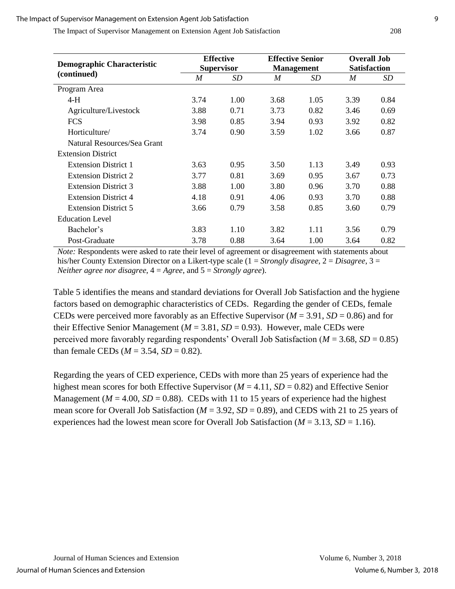The Impact of Supervisor Management on Extension Agent Job Satisfaction 208

|                                   |      | <b>Effective</b>  | <b>Effective Senior</b> |                   | <b>Overall Job</b>  |      |  |
|-----------------------------------|------|-------------------|-------------------------|-------------------|---------------------|------|--|
| <b>Demographic Characteristic</b> |      | <b>Supervisor</b> |                         | <b>Management</b> | <b>Satisfaction</b> |      |  |
| (continued)                       | M    | <i>SD</i>         | M                       | <i>SD</i>         | $\boldsymbol{M}$    | SD   |  |
| Program Area                      |      |                   |                         |                   |                     |      |  |
| $4-H$                             | 3.74 | 1.00              | 3.68                    | 1.05              | 3.39                | 0.84 |  |
| Agriculture/Livestock             | 3.88 | 0.71              | 3.73                    | 0.82              | 3.46                | 0.69 |  |
| <b>FCS</b>                        | 3.98 | 0.85              | 3.94                    | 0.93              | 3.92                | 0.82 |  |
| Horticulture/                     | 3.74 | 0.90              | 3.59                    | 1.02              | 3.66                | 0.87 |  |
| Natural Resources/Sea Grant       |      |                   |                         |                   |                     |      |  |
| <b>Extension District</b>         |      |                   |                         |                   |                     |      |  |
| <b>Extension District 1</b>       | 3.63 | 0.95              | 3.50                    | 1.13              | 3.49                | 0.93 |  |
| <b>Extension District 2</b>       | 3.77 | 0.81              | 3.69                    | 0.95              | 3.67                | 0.73 |  |
| <b>Extension District 3</b>       | 3.88 | 1.00              | 3.80                    | 0.96              | 3.70                | 0.88 |  |
| <b>Extension District 4</b>       | 4.18 | 0.91              | 4.06                    | 0.93              | 3.70                | 0.88 |  |
| <b>Extension District 5</b>       | 3.66 | 0.79              | 3.58                    | 0.85              | 3.60                | 0.79 |  |
| <b>Education Level</b>            |      |                   |                         |                   |                     |      |  |
| Bachelor's                        | 3.83 | 1.10              | 3.82                    | 1.11              | 3.56                | 0.79 |  |
| Post-Graduate                     | 3.78 | 0.88              | 3.64                    | 1.00              | 3.64                | 0.82 |  |

*Note:* Respondents were asked to rate their level of agreement or disagreement with statements about his/her County Extension Director on a Likert-type scale (1 = *Strongly disagree*, 2 = *Disagree*, 3 = *Neither agree nor disagree*, 4 = *Agree*, and 5 = *Strongly agree*).

Table 5 identifies the means and standard deviations for Overall Job Satisfaction and the hygiene factors based on demographic characteristics of CEDs. Regarding the gender of CEDs, female CEDs were perceived more favorably as an Effective Supervisor (*M* = 3.91, *SD* = 0.86) and for their Effective Senior Management ( $M = 3.81$ ,  $SD = 0.93$ ). However, male CEDs were perceived more favorably regarding respondents' Overall Job Satisfaction ( $M = 3.68$ ,  $SD = 0.85$ ) than female CEDs ( $M = 3.54$ ,  $SD = 0.82$ ).

Regarding the years of CED experience, CEDs with more than 25 years of experience had the highest mean scores for both Effective Supervisor (*M* = 4.11, *SD* = 0.82) and Effective Senior Management ( $M = 4.00$ ,  $SD = 0.88$ ). CEDs with 11 to 15 years of experience had the highest mean score for Overall Job Satisfaction ( $M = 3.92$ ,  $SD = 0.89$ ), and CEDS with 21 to 25 years of experiences had the lowest mean score for Overall Job Satisfaction ( $M = 3.13$ ,  $SD = 1.16$ ).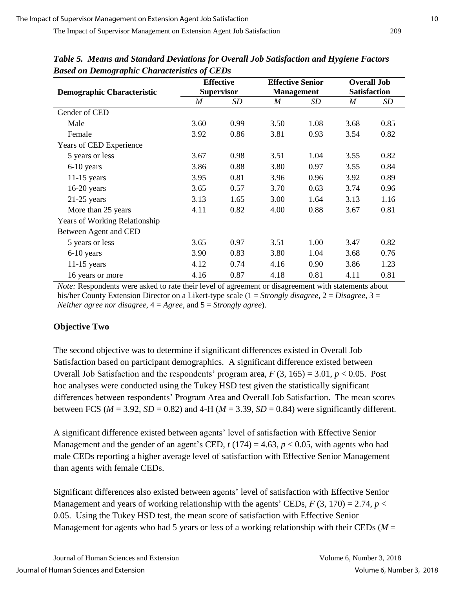|                                      |                  | <b>Effective</b>  | <b>Effective Senior</b> |                   | <b>Overall Job</b><br><b>Satisfaction</b> |      |  |
|--------------------------------------|------------------|-------------------|-------------------------|-------------------|-------------------------------------------|------|--|
| <b>Demographic Characteristic</b>    |                  | <b>Supervisor</b> |                         | <b>Management</b> |                                           |      |  |
|                                      | $\boldsymbol{M}$ | <b>SD</b>         | M                       | SD                | M                                         | SD   |  |
| Gender of CED                        |                  |                   |                         |                   |                                           |      |  |
| Male                                 | 3.60             | 0.99              | 3.50                    | 1.08              | 3.68                                      | 0.85 |  |
| Female                               | 3.92             | 0.86              | 3.81                    | 0.93              | 3.54                                      | 0.82 |  |
| Years of CED Experience              |                  |                   |                         |                   |                                           |      |  |
| 5 years or less                      | 3.67             | 0.98              | 3.51                    | 1.04              | 3.55                                      | 0.82 |  |
| 6-10 years                           | 3.86             | 0.88              | 3.80                    | 0.97              | 3.55                                      | 0.84 |  |
| $11-15$ years                        | 3.95             | 0.81              | 3.96                    | 0.96              | 3.92                                      | 0.89 |  |
| $16-20$ years                        | 3.65             | 0.57              | 3.70                    | 0.63              | 3.74                                      | 0.96 |  |
| $21-25$ years                        | 3.13             | 1.65              | 3.00                    | 1.64              | 3.13                                      | 1.16 |  |
| More than 25 years                   | 4.11             | 0.82              | 4.00                    | 0.88              | 3.67                                      | 0.81 |  |
| <b>Years of Working Relationship</b> |                  |                   |                         |                   |                                           |      |  |
| Between Agent and CED                |                  |                   |                         |                   |                                           |      |  |
| 5 years or less                      | 3.65             | 0.97              | 3.51                    | 1.00              | 3.47                                      | 0.82 |  |
| 6-10 years                           | 3.90             | 0.83              | 3.80                    | 1.04              | 3.68                                      | 0.76 |  |
| $11-15$ years                        | 4.12             | 0.74              | 4.16                    | 0.90              | 3.86                                      | 1.23 |  |
| 16 years or more                     | 4.16             | 0.87              | 4.18                    | 0.81              | 4.11                                      | 0.81 |  |

*Table 5. Means and Standard Deviations for Overall Job Satisfaction and Hygiene Factors Based on Demographic Characteristics of CEDs*

*Note:* Respondents were asked to rate their level of agreement or disagreement with statements about his/her County Extension Director on a Likert-type scale (1 = *Strongly disagree*, 2 = *Disagree*, 3 = *Neither agree nor disagree*, 4 = *Agree*, and 5 = *Strongly agree*).

## **Objective Two**

The second objective was to determine if significant differences existed in Overall Job Satisfaction based on participant demographics. A significant difference existed between Overall Job Satisfaction and the respondents' program area,  $F(3, 165) = 3.01$ ,  $p < 0.05$ . Post hoc analyses were conducted using the Tukey HSD test given the statistically significant differences between respondents' Program Area and Overall Job Satisfaction. The mean scores between FCS ( $M = 3.92$ ,  $SD = 0.82$ ) and 4-H ( $M = 3.39$ ,  $SD = 0.84$ ) were significantly different.

A significant difference existed between agents' level of satisfaction with Effective Senior Management and the gender of an agent's CED,  $t(174) = 4.63$ ,  $p < 0.05$ , with agents who had male CEDs reporting a higher average level of satisfaction with Effective Senior Management than agents with female CEDs.

Significant differences also existed between agents' level of satisfaction with Effective Senior Management and years of working relationship with the agents' CEDs,  $F(3, 170) = 2.74$ ,  $p <$ 0.05. Using the Tukey HSD test, the mean score of satisfaction with Effective Senior Management for agents who had 5 years or less of a working relationship with their CEDs ( $M =$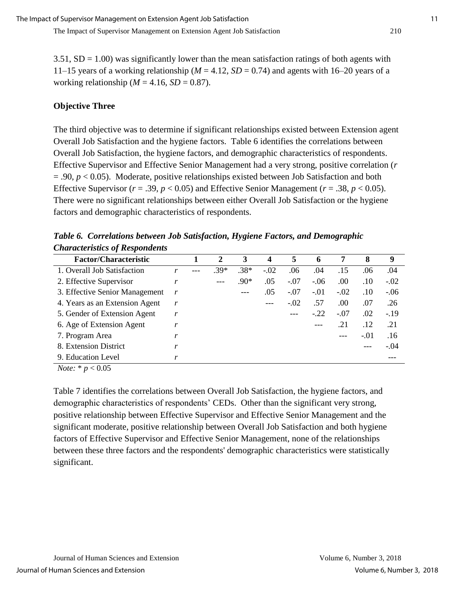$3.51$ ,  $SD = 1.00$ ) was significantly lower than the mean satisfaction ratings of both agents with 11–15 years of a working relationship ( $M = 4.12$ ,  $SD = 0.74$ ) and agents with 16–20 years of a working relationship ( $M = 4.16$ ,  $SD = 0.87$ ).

## **Objective Three**

The third objective was to determine if significant relationships existed between Extension agent Overall Job Satisfaction and the hygiene factors. Table 6 identifies the correlations between Overall Job Satisfaction, the hygiene factors, and demographic characteristics of respondents. Effective Supervisor and Effective Senior Management had a very strong, positive correlation (*r*  $= .90, p < 0.05$ ). Moderate, positive relationships existed between Job Satisfaction and both Effective Supervisor ( $r = .39$ ,  $p < 0.05$ ) and Effective Senior Management ( $r = .38$ ,  $p < 0.05$ ). There were no significant relationships between either Overall Job Satisfaction or the hygiene factors and demographic characteristics of respondents.

*Table 6. Correlations between Job Satisfaction, Hygiene Factors, and Demographic Characteristics of Respondents*

| <b>Factor/Characteristic</b>   |   | 2    | 3      | $\boldsymbol{4}$ | 5      | 6      | 7      | 8      | 9      |
|--------------------------------|---|------|--------|------------------|--------|--------|--------|--------|--------|
| 1. Overall Job Satisfaction    |   | .39* | $.38*$ | $-.02$           | .06    | .04    | .15    | .06    | .04    |
| 2. Effective Supervisor        | r |      | $.90*$ | .05              | $-.07$ | $-.06$ | .00    | .10    | $-.02$ |
| 3. Effective Senior Management | r |      | ---    | .05              | $-.07$ | $-.01$ | $-.02$ | .10    | $-.06$ |
| 4. Years as an Extension Agent | r |      |        | ---              | $-.02$ | .57    | .00    | .07    | .26    |
| 5. Gender of Extension Agent   | r |      |        |                  |        | $-.22$ | $-.07$ | .02    | $-.19$ |
| 6. Age of Extension Agent      | r |      |        |                  |        |        | .21    | .12    | .21    |
| 7. Program Area                |   |      |        |                  |        |        |        | $-.01$ | .16    |
| 8. Extension District          | r |      |        |                  |        |        |        |        | $-.04$ |
| 9. Education Level             | r |      |        |                  |        |        |        |        |        |

*Note:* \* *p* < 0.05

Table 7 identifies the correlations between Overall Job Satisfaction, the hygiene factors, and demographic characteristics of respondents' CEDs. Other than the significant very strong, positive relationship between Effective Supervisor and Effective Senior Management and the significant moderate, positive relationship between Overall Job Satisfaction and both hygiene factors of Effective Supervisor and Effective Senior Management, none of the relationships between these three factors and the respondents' demographic characteristics were statistically significant.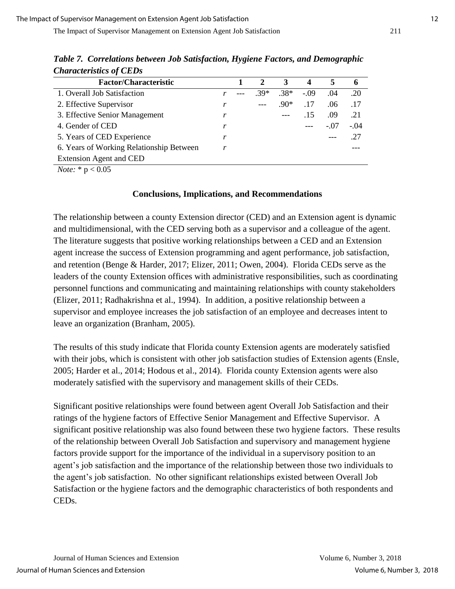| <b>Factor/Characteristic</b>             |   |        | 3      | $\boldsymbol{4}$ |        | <sup>0</sup> |
|------------------------------------------|---|--------|--------|------------------|--------|--------------|
| 1. Overall Job Satisfaction              |   | $.39*$ | $.38*$ | $-0.09$          | .04    | .20          |
| 2. Effective Supervisor                  |   | $---$  | .90*   | .17              | .06    | .17          |
| 3. Effective Senior Management           | r |        | $---$  | .15              | .09    | .21          |
| 4. Gender of CED                         |   |        |        | $---$            | $-.07$ | $-.04$       |
| 5. Years of CED Experience               |   |        |        |                  |        | .27          |
| 6. Years of Working Relationship Between |   |        |        |                  |        |              |
| <b>Extension Agent and CED</b>           |   |        |        |                  |        |              |

*Table 7. Correlations between Job Satisfaction, Hygiene Factors, and Demographic Characteristics of CEDs*

*Note:* \* p < 0.05

#### **Conclusions, Implications, and Recommendations**

The relationship between a county Extension director (CED) and an Extension agent is dynamic and multidimensional, with the CED serving both as a supervisor and a colleague of the agent. The literature suggests that positive working relationships between a CED and an Extension agent increase the success of Extension programming and agent performance, job satisfaction, and retention (Benge & Harder, 2017; Elizer, 2011; Owen, 2004). Florida CEDs serve as the leaders of the county Extension offices with administrative responsibilities, such as coordinating personnel functions and communicating and maintaining relationships with county stakeholders (Elizer, 2011; Radhakrishna et al., 1994). In addition, a positive relationship between a supervisor and employee increases the job satisfaction of an employee and decreases intent to leave an organization (Branham, 2005).

The results of this study indicate that Florida county Extension agents are moderately satisfied with their jobs, which is consistent with other job satisfaction studies of Extension agents (Ensle, 2005; Harder et al., 2014; Hodous et al., 2014). Florida county Extension agents were also moderately satisfied with the supervisory and management skills of their CEDs.

Significant positive relationships were found between agent Overall Job Satisfaction and their ratings of the hygiene factors of Effective Senior Management and Effective Supervisor. A significant positive relationship was also found between these two hygiene factors. These results of the relationship between Overall Job Satisfaction and supervisory and management hygiene factors provide support for the importance of the individual in a supervisory position to an agent's job satisfaction and the importance of the relationship between those two individuals to the agent's job satisfaction. No other significant relationships existed between Overall Job Satisfaction or the hygiene factors and the demographic characteristics of both respondents and CEDs.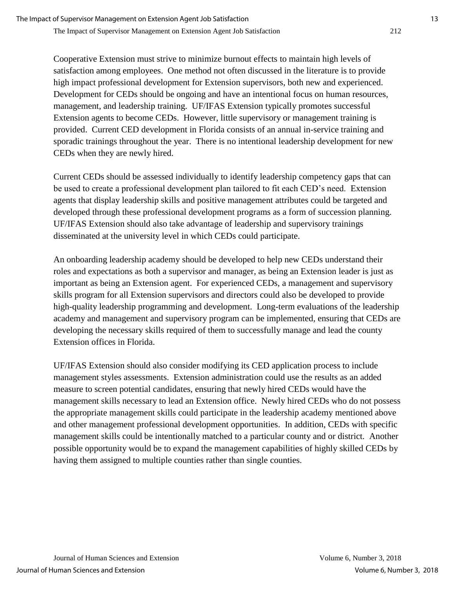Cooperative Extension must strive to minimize burnout effects to maintain high levels of satisfaction among employees. One method not often discussed in the literature is to provide high impact professional development for Extension supervisors, both new and experienced. Development for CEDs should be ongoing and have an intentional focus on human resources, management, and leadership training. UF/IFAS Extension typically promotes successful Extension agents to become CEDs. However, little supervisory or management training is provided. Current CED development in Florida consists of an annual in-service training and sporadic trainings throughout the year. There is no intentional leadership development for new CEDs when they are newly hired.

Current CEDs should be assessed individually to identify leadership competency gaps that can be used to create a professional development plan tailored to fit each CED's need. Extension agents that display leadership skills and positive management attributes could be targeted and developed through these professional development programs as a form of succession planning. UF/IFAS Extension should also take advantage of leadership and supervisory trainings disseminated at the university level in which CEDs could participate.

An onboarding leadership academy should be developed to help new CEDs understand their roles and expectations as both a supervisor and manager, as being an Extension leader is just as important as being an Extension agent. For experienced CEDs, a management and supervisory skills program for all Extension supervisors and directors could also be developed to provide high-quality leadership programming and development. Long-term evaluations of the leadership academy and management and supervisory program can be implemented, ensuring that CEDs are developing the necessary skills required of them to successfully manage and lead the county Extension offices in Florida.

UF/IFAS Extension should also consider modifying its CED application process to include management styles assessments. Extension administration could use the results as an added measure to screen potential candidates, ensuring that newly hired CEDs would have the management skills necessary to lead an Extension office. Newly hired CEDs who do not possess the appropriate management skills could participate in the leadership academy mentioned above and other management professional development opportunities. In addition, CEDs with specific management skills could be intentionally matched to a particular county and or district. Another possible opportunity would be to expand the management capabilities of highly skilled CEDs by having them assigned to multiple counties rather than single counties.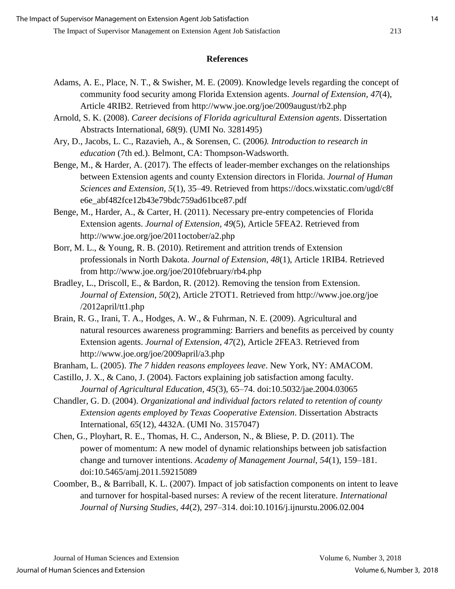#### **References**

- Adams, A. E., Place, N. T., & Swisher, M. E. (2009). Knowledge levels regarding the concept of community food security among Florida Extension agents. *Journal of Extension*, *47*(4), Article 4RIB2. Retrieved from http://www.joe.org/joe/2009august/rb2.php
- Arnold, S. K. (2008). *Career decisions of Florida agricultural Extension agents*. Dissertation Abstracts International, *68*(9). (UMI No. 3281495)
- Ary, D., Jacobs, L. C., Razavieh, A., & Sorensen, C. (2006*). Introduction to research in education* (7th ed.). Belmont, CA: Thompson-Wadsworth.
- Benge, M., & Harder, A. (2017). The effects of leader-member exchanges on the relationships between Extension agents and county Extension directors in Florida. *Journal of Human Sciences and Extension, 5*(1), 35–49. Retrieved from https://docs.wixstatic.com/ugd/c8f e6e\_abf482fce12b43e79bdc759ad61bce87.pdf
- Benge, M., Harder, A., & Carter, H. (2011). Necessary pre-entry competencies of Florida Extension agents. *Journal of Extension, 49*(5), Article 5FEA2. Retrieved from http://www.joe.org/joe/2011october/a2.php
- Borr, M. L., & Young, R. B. (2010). Retirement and attrition trends of Extension professionals in North Dakota. *Journal of Extension*, *48*(1), Article 1RIB4. Retrieved from http://www.joe.org/joe/2010february/rb4.php
- Bradley, L., Driscoll, E., & Bardon, R. (2012). Removing the tension from Extension. *Journal of Extension*, *50*(2), Article 2TOT1. Retrieved from http://www.joe.org/joe /2012april/tt1.php
- Brain, R. G., Irani, T. A., Hodges, A. W., & Fuhrman, N. E. (2009). Agricultural and natural resources awareness programming: Barriers and benefits as perceived by county Extension agents. *Journal of Extension*, *47*(2), Article 2FEA3. Retrieved from http://www.joe.org/joe/2009april/a3.php
- Branham, L. (2005). *The 7 hidden reasons employees leave*. New York, NY: AMACOM.
- Castillo, J. X., & Cano, J. (2004). Factors explaining job satisfaction among faculty. *Journal of Agricultural Education, 45*(3), 65–74. doi:10.5032/jae.2004.03065
- Chandler, G. D. (2004). *Organizational and individual factors related to retention of county Extension agents employed by Texas Cooperative Extension*. Dissertation Abstracts International, *65*(12), 4432A. (UMI No. 3157047)
- Chen, G., Ployhart, R. E., Thomas, H. C., Anderson, N., & Bliese, P. D. (2011). The power of momentum: A new model of dynamic relationships between job satisfaction change and turnover intentions. *Academy of Management Journal, 54*(1), 159–181. doi:10.5465/amj.2011.59215089
- Coomber, B., & Barriball, K. L. (2007). Impact of job satisfaction components on intent to leave and turnover for hospital-based nurses: A review of the recent literature. *International Journal of Nursing Studies, 44*(2), 297–314. doi:10.1016/j.ijnurstu.2006.02.004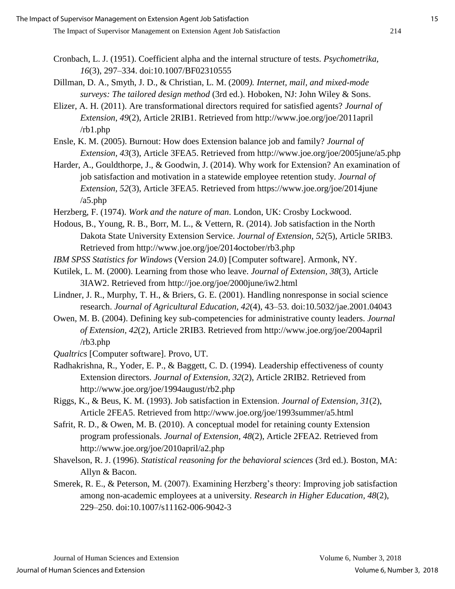- Cronbach, L. J. (1951). Coefficient alpha and the internal structure of tests. *Psychometrika, 16*(3), 297–334. doi:10.1007/BF02310555
- Dillman, D. A., Smyth, J. D., & Christian, L. M. (2009*). Internet, mail, and mixed-mode surveys: The tailored design method* (3rd ed.). Hoboken, NJ: John Wiley & Sons.
- Elizer, A. H. (2011). Are transformational directors required for satisfied agents? *Journal of Extension*, *49*(2), Article 2RIB1. Retrieved from http://www.joe.org/joe/2011april /rb1.php
- Ensle, K. M. (2005). Burnout: How does Extension balance job and family? *Journal of Extension, 43*(3), Article 3FEA5. Retrieved from http://www.joe.org/joe/2005june/a5.php
- Harder, A., Gouldthorpe, J., & Goodwin, J. (2014). Why work for Extension? An examination of job satisfaction and motivation in a statewide employee retention study. *Journal of Extension, 52*(3), Article 3FEA5. Retrieved from https://www.joe.org/joe/2014june /a5.php
- Herzberg, F. (1974). *Work and the nature of man*. London, UK: Crosby Lockwood.
- Hodous, B., Young, R. B., Borr, M. L., & Vettern, R. (2014). Job satisfaction in the North Dakota State University Extension Service. *Journal of Extension, 52*(5), Article 5RIB3. Retrieved from http://www.joe.org/joe/2014october/rb3.php
- *IBM SPSS Statistics for Windows* (Version 24.0) [Computer software]. Armonk, NY.
- Kutilek, L. M. (2000). Learning from those who leave. *Journal of Extension, 38*(3), Article 3IAW2. Retrieved from http://joe.org/joe/2000june/iw2.html
- Lindner, J. R., Murphy, T. H., & Briers, G. E. (2001). Handling nonresponse in social science research. *Journal of Agricultural Education, 42*(4), 43–53. doi:10.5032/jae.2001.04043
- Owen, M. B. (2004). Defining key sub-competencies for administrative county leaders. *Journal of Extension, 42*(2), Article 2RIB3. Retrieved from http://www.joe.org/joe/2004april /rb3.php
- *Qualtrics* [Computer software]. Provo, UT.
- Radhakrishna, R., Yoder, E. P., & Baggett, C. D. (1994). Leadership effectiveness of county Extension directors. *Journal of Extension, 32*(2), Article 2RIB2. Retrieved from http://www.joe.org/joe/1994august/rb2.php
- Riggs, K., & Beus, K. M. (1993). Job satisfaction in Extension. *Journal of Extension, 31*(2), Article 2FEA5. Retrieved from http://www.joe.org/joe/1993summer/a5.html
- Safrit, R. D., & Owen, M. B. (2010). A conceptual model for retaining county Extension program professionals. *Journal of Extension, 48*(2), Article 2FEA2. Retrieved from http://www.joe.org/joe/2010april/a2.php
- Shavelson, R. J. (1996). *Statistical reasoning for the behavioral sciences* (3rd ed.). Boston, MA: Allyn & Bacon.
- Smerek, R. E., & Peterson, M. (2007). Examining Herzberg's theory: Improving job satisfaction among non-academic employees at a university. *Research in Higher Education, 48*(2), 229–250. doi:10.1007/s11162-006-9042-3